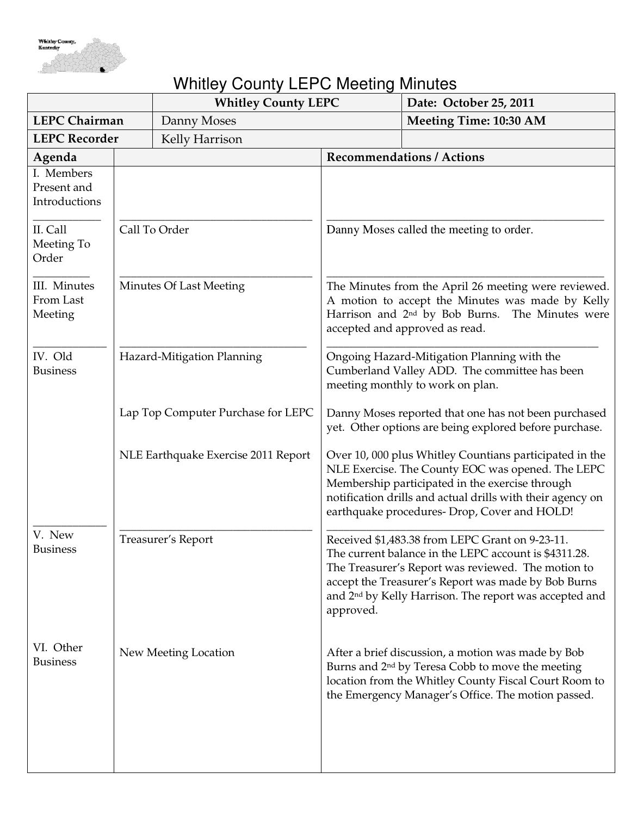

## Whitley County LEPC Meeting Minutes

|                                            |                                     | <b>Whitley County LEPC</b> |                                                                                                                                                                                                           | Date: October 25, 2011                                                                                                                                                                                                                                                                      |
|--------------------------------------------|-------------------------------------|----------------------------|-----------------------------------------------------------------------------------------------------------------------------------------------------------------------------------------------------------|---------------------------------------------------------------------------------------------------------------------------------------------------------------------------------------------------------------------------------------------------------------------------------------------|
| <b>LEPC Chairman</b>                       |                                     | Danny Moses                |                                                                                                                                                                                                           | Meeting Time: 10:30 AM                                                                                                                                                                                                                                                                      |
| <b>LEPC Recorder</b>                       |                                     | Kelly Harrison             |                                                                                                                                                                                                           |                                                                                                                                                                                                                                                                                             |
| Agenda                                     |                                     |                            |                                                                                                                                                                                                           | <b>Recommendations / Actions</b>                                                                                                                                                                                                                                                            |
| I. Members<br>Present and<br>Introductions |                                     |                            |                                                                                                                                                                                                           |                                                                                                                                                                                                                                                                                             |
| II. Call<br>Meeting To<br>Order            | Call To Order                       |                            | Danny Moses called the meeting to order.                                                                                                                                                                  |                                                                                                                                                                                                                                                                                             |
| III. Minutes<br>From Last<br>Meeting       | <b>Minutes Of Last Meeting</b>      |                            | The Minutes from the April 26 meeting were reviewed.<br>A motion to accept the Minutes was made by Kelly<br>Harrison and 2 <sup>nd</sup> by Bob Burns. The Minutes were<br>accepted and approved as read. |                                                                                                                                                                                                                                                                                             |
| IV. Old<br><b>Business</b>                 |                                     | Hazard-Mitigation Planning |                                                                                                                                                                                                           | Ongoing Hazard-Mitigation Planning with the<br>Cumberland Valley ADD. The committee has been<br>meeting monthly to work on plan.                                                                                                                                                            |
|                                            | Lap Top Computer Purchase for LEPC  |                            |                                                                                                                                                                                                           | Danny Moses reported that one has not been purchased<br>yet. Other options are being explored before purchase.                                                                                                                                                                              |
|                                            | NLE Earthquake Exercise 2011 Report |                            |                                                                                                                                                                                                           | Over 10, 000 plus Whitley Countians participated in the<br>NLE Exercise. The County EOC was opened. The LEPC<br>Membership participated in the exercise through<br>notification drills and actual drills with their agency on<br>earthquake procedures- Drop, Cover and HOLD!               |
| V. New<br><b>Business</b>                  | Treasurer's Report                  |                            | approved.                                                                                                                                                                                                 | Received \$1,483.38 from LEPC Grant on 9-23-11.<br>The current balance in the LEPC account is \$4311.28.<br>The Treasurer's Report was reviewed. The motion to<br>accept the Treasurer's Report was made by Bob Burns<br>and 2 <sup>nd</sup> by Kelly Harrison. The report was accepted and |
| VI. Other<br><b>Business</b>               | New Meeting Location                |                            |                                                                                                                                                                                                           | After a brief discussion, a motion was made by Bob<br>Burns and 2 <sup>nd</sup> by Teresa Cobb to move the meeting<br>location from the Whitley County Fiscal Court Room to<br>the Emergency Manager's Office. The motion passed.                                                           |